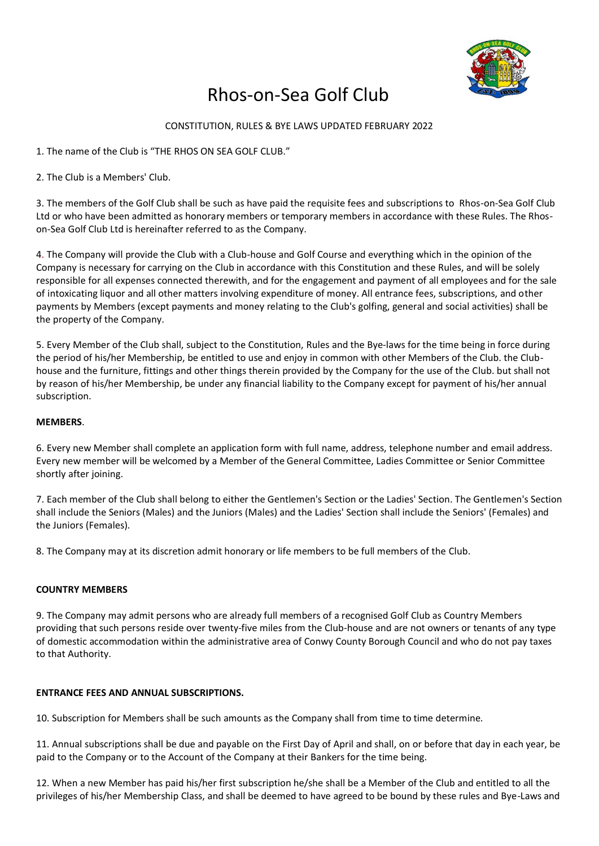

# Rhos-on-Sea Golf Club

# CONSTITUTION, RULES & BYE LAWS UPDATED FEBRUARY 2022

1. The name of the Club is "THE RHOS ON SEA GOLF CLUB."

2. The Club is a Members' Club.

3. The members of the Golf Club shall be such as have paid the requisite fees and subscriptions to Rhos-on-Sea Golf Club Ltd or who have been admitted as honorary members or temporary members in accordance with these Rules. The Rhoson-Sea Golf Club Ltd is hereinafter referred to as the Company.

4. The Company will provide the Club with a Club-house and Golf Course and everything which in the opinion of the Company is necessary for carrying on the Club in accordance with this Constitution and these Rules, and will be solely responsible for all expenses connected therewith, and for the engagement and payment of all employees and for the sale of intoxicating liquor and all other matters involving expenditure of money. All entrance fees, subscriptions, and other payments by Members (except payments and money relating to the Club's golfing, general and social activities) shall be the property of the Company.

5. Every Member of the Club shall, subject to the Constitution, Rules and the Bye-laws for the time being in force during the period of his/her Membership, be entitled to use and enjoy in common with other Members of the Club. the Clubhouse and the furniture, fittings and other things therein provided by the Company for the use of the Club. but shall not by reason of his/her Membership, be under any financial liability to the Company except for payment of his/her annual subscription.

# **MEMBERS**.

6. Every new Member shall complete an application form with full name, address, telephone number and email address. Every new member will be welcomed by a Member of the General Committee, Ladies Committee or Senior Committee shortly after joining.

7. Each member of the Club shall belong to either the Gentlemen's Section or the Ladies' Section. The Gentlemen's Section shall include the Seniors (Males) and the Juniors (Males) and the Ladies' Section shall include the Seniors' (Females) and the Juniors (Females).

8. The Company may at its discretion admit honorary or life members to be full members of the Club.

# **COUNTRY MEMBERS**

9. The Company may admit persons who are already full members of a recognised Golf Club as Country Members providing that such persons reside over twenty-five miles from the Club-house and are not owners or tenants of any type of domestic accommodation within the administrative area of Conwy County Borough Council and who do not pay taxes to that Authority.

# **ENTRANCE FEES AND ANNUAL SUBSCRIPTIONS.**

10. Subscription for Members shall be such amounts as the Company shall from time to time determine.

11. Annual subscriptions shall be due and payable on the First Day of April and shall, on or before that day in each year, be paid to the Company or to the Account of the Company at their Bankers for the time being.

12. When a new Member has paid his/her first subscription he/she shall be a Member of the Club and entitled to all the privileges of his/her Membership Class, and shall be deemed to have agreed to be bound by these rules and Bye-Laws and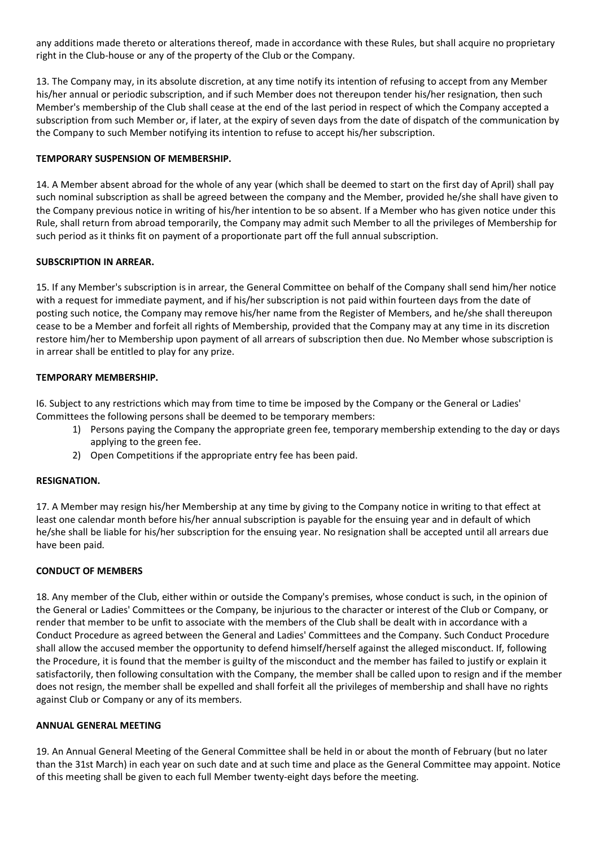any additions made thereto or alterations thereof, made in accordance with these Rules, but shall acquire no proprietary right in the Club-house or any of the property of the Club or the Company.

13. The Company may, in its absolute discretion, at any time notify its intention of refusing to accept from any Member his/her annual or periodic subscription, and if such Member does not thereupon tender his/her resignation, then such Member's membership of the Club shall cease at the end of the last period in respect of which the Company accepted a subscription from such Member or, if later, at the expiry of seven days from the date of dispatch of the communication by the Company to such Member notifying its intention to refuse to accept his/her subscription.

# **TEMPORARY SUSPENSION OF MEMBERSHIP.**

14. A Member absent abroad for the whole of any year (which shall be deemed to start on the first day of April) shall pay such nominal subscription as shall be agreed between the company and the Member, provided he/she shall have given to the Company previous notice in writing of his/her intention to be so absent. If a Member who has given notice under this Rule, shall return from abroad temporarily, the Company may admit such Member to all the privileges of Membership for such period as it thinks fit on payment of a proportionate part off the full annual subscription.

#### **SUBSCRIPTION IN ARREAR.**

15. If any Member's subscription is in arrear, the General Committee on behalf of the Company shall send him/her notice with a request for immediate payment, and if his/her subscription is not paid within fourteen days from the date of posting such notice, the Company may remove his/her name from the Register of Members, and he/she shall thereupon cease to be a Member and forfeit all rights of Membership, provided that the Company may at any time in its discretion restore him/her to Membership upon payment of all arrears of subscription then due. No Member whose subscription is in arrear shall be entitled to play for any prize.

#### **TEMPORARY MEMBERSHIP.**

I6. Subject to any restrictions which may from time to time be imposed by the Company or the General or Ladies' Committees the following persons shall be deemed to be temporary members:

- 1) Persons paying the Company the appropriate green fee, temporary membership extending to the day or days applying to the green fee.
- 2) Open Competitions if the appropriate entry fee has been paid.

#### **RESIGNATION.**

17. A Member may resign his/her Membership at any time by giving to the Company notice in writing to that effect at least one calendar month before his/her annual subscription is payable for the ensuing year and in default of which he/she shall be liable for his/her subscription for the ensuing year. No resignation shall be accepted until all arrears due have been paid.

#### **CONDUCT OF MEMBERS**

18. Any member of the Club, either within or outside the Company's premises, whose conduct is such, in the opinion of the General or Ladies' Committees or the Company, be injurious to the character or interest of the Club or Company, or render that member to be unfit to associate with the members of the Club shall be dealt with in accordance with a Conduct Procedure as agreed between the General and Ladies' Committees and the Company. Such Conduct Procedure shall allow the accused member the opportunity to defend himself/herself against the alleged misconduct. If, following the Procedure, it is found that the member is guilty of the misconduct and the member has failed to justify or explain it satisfactorily, then following consultation with the Company, the member shall be called upon to resign and if the member does not resign, the member shall be expelled and shall forfeit all the privileges of membership and shall have no rights against Club or Company or any of its members.

#### **ANNUAL GENERAL MEETING**

19. An Annual General Meeting of the General Committee shall be held in or about the month of February (but no later than the 31st March) in each year on such date and at such time and place as the General Committee may appoint. Notice of this meeting shall be given to each full Member twenty-eight days before the meeting.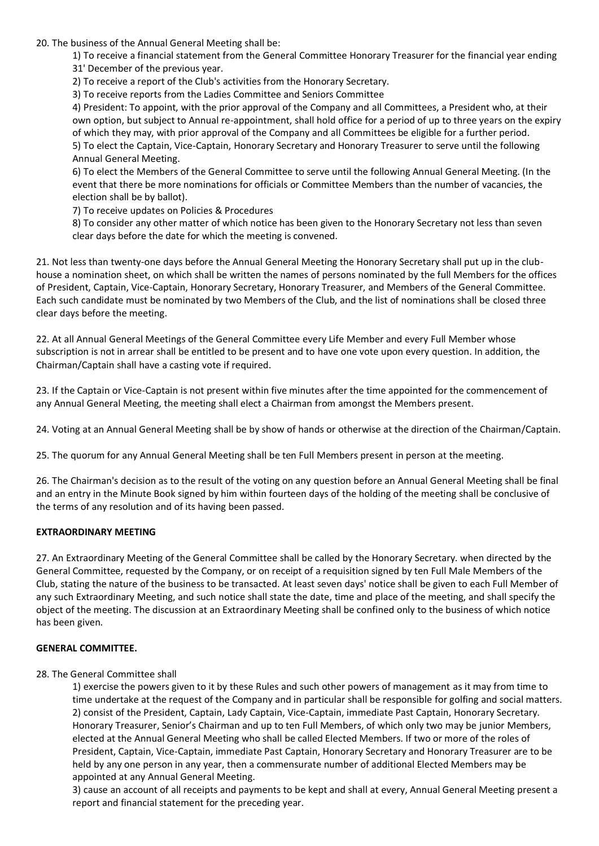# 20. The business of the Annual General Meeting shall be:

1) To receive a financial statement from the General Committee Honorary Treasurer for the financial year ending

31' December of the previous year.

2) To receive a report of the Club's activities from the Honorary Secretary.

3) To receive reports from the Ladies Committee and Seniors Committee

4) President: To appoint, with the prior approval of the Company and all Committees, a President who, at their own option, but subject to Annual re-appointment, shall hold office for a period of up to three years on the expiry of which they may, with prior approval of the Company and all Committees be eligible for a further period. 5) To elect the Captain, Vice-Captain, Honorary Secretary and Honorary Treasurer to serve until the following Annual General Meeting.

6) To elect the Members of the General Committee to serve until the following Annual General Meeting. (In the event that there be more nominations for officials or Committee Members than the number of vacancies, the election shall be by ballot).

7) To receive updates on Policies & Procedures

8) To consider any other matter of which notice has been given to the Honorary Secretary not less than seven clear days before the date for which the meeting is convened.

21. Not less than twenty-one days before the Annual General Meeting the Honorary Secretary shall put up in the clubhouse a nomination sheet, on which shall be written the names of persons nominated by the full Members for the offices of President, Captain, Vice-Captain, Honorary Secretary, Honorary Treasurer, and Members of the General Committee. Each such candidate must be nominated by two Members of the Club, and the list of nominations shall be closed three clear days before the meeting.

22. At all Annual General Meetings of the General Committee every Life Member and every Full Member whose subscription is not in arrear shall be entitled to be present and to have one vote upon every question. In addition, the Chairman/Captain shall have a casting vote if required.

23. If the Captain or Vice-Captain is not present within five minutes after the time appointed for the commencement of any Annual General Meeting, the meeting shall elect a Chairman from amongst the Members present.

24. Voting at an Annual General Meeting shall be by show of hands or otherwise at the direction of the Chairman/Captain.

25. The quorum for any Annual General Meeting shall be ten Full Members present in person at the meeting.

26. The Chairman's decision as to the result of the voting on any question before an Annual General Meeting shall be final and an entry in the Minute Book signed by him within fourteen days of the holding of the meeting shall be conclusive of the terms of any resolution and of its having been passed.

# **EXTRAORDINARY MEETING**

27. An Extraordinary Meeting of the General Committee shall be called by the Honorary Secretary. when directed by the General Committee, requested by the Company, or on receipt of a requisition signed by ten Full Male Members of the Club, stating the nature of the business to be transacted. At least seven days' notice shall be given to each Full Member of any such Extraordinary Meeting, and such notice shall state the date, time and place of the meeting, and shall specify the object of the meeting. The discussion at an Extraordinary Meeting shall be confined only to the business of which notice has been given.

# **GENERAL COMMITTEE.**

# 28. The General Committee shall

1) exercise the powers given to it by these Rules and such other powers of management as it may from time to time undertake at the request of the Company and in particular shall be responsible for golfing and social matters. 2) consist of the President, Captain, Lady Captain, Vice-Captain, immediate Past Captain, Honorary Secretary. Honorary Treasurer, Senior's Chairman and up to ten Full Members, of which only two may be junior Members, elected at the Annual General Meeting who shall be called Elected Members. If two or more of the roles of President, Captain, Vice-Captain, immediate Past Captain, Honorary Secretary and Honorary Treasurer are to be held by any one person in any year, then a commensurate number of additional Elected Members may be appointed at any Annual General Meeting.

3) cause an account of all receipts and payments to be kept and shall at every, Annual General Meeting present a report and financial statement for the preceding year.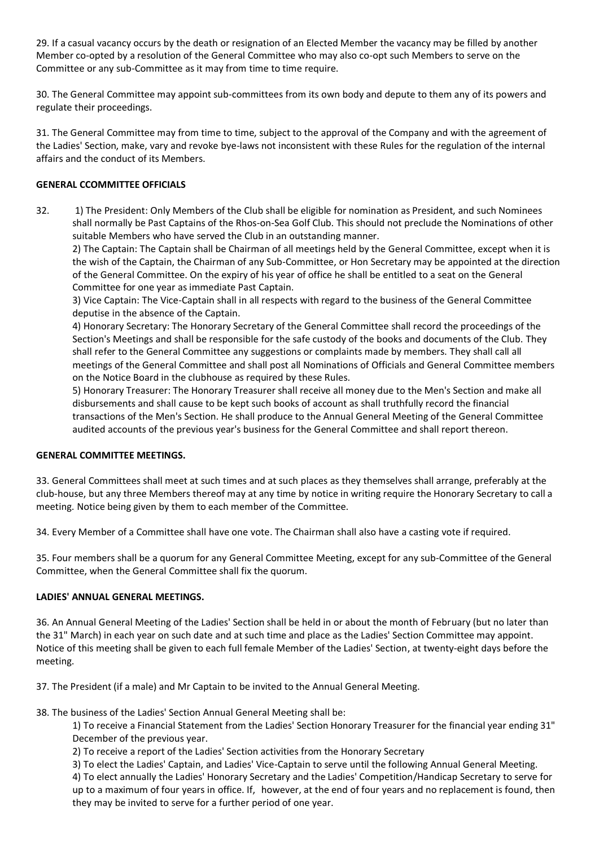29. If a casual vacancy occurs by the death or resignation of an Elected Member the vacancy may be filled by another Member co-opted by a resolution of the General Committee who may also co-opt such Members to serve on the Committee or any sub-Committee as it may from time to time require.

30. The General Committee may appoint sub-committees from its own body and depute to them any of its powers and regulate their proceedings.

31. The General Committee may from time to time, subject to the approval of the Company and with the agreement of the Ladies' Section, make, vary and revoke bye-laws not inconsistent with these Rules for the regulation of the internal affairs and the conduct of its Members.

# **GENERAL CCOMMITTEE OFFICIALS**

32. 1) The President: Only Members of the Club shall be eligible for nomination as President, and such Nominees shall normally be Past Captains of the Rhos-on-Sea Golf Club. This should not preclude the Nominations of other suitable Members who have served the Club in an outstanding manner.

2) The Captain: The Captain shall be Chairman of all meetings held by the General Committee, except when it is the wish of the Captain, the Chairman of any Sub-Committee, or Hon Secretary may be appointed at the direction of the General Committee. On the expiry of his year of office he shall be entitled to a seat on the General Committee for one year as immediate Past Captain.

3) Vice Captain: The Vice-Captain shall in all respects with regard to the business of the General Committee deputise in the absence of the Captain.

4) Honorary Secretary: The Honorary Secretary of the General Committee shall record the proceedings of the Section's Meetings and shall be responsible for the safe custody of the books and documents of the Club. They shall refer to the General Committee any suggestions or complaints made by members. They shall call all meetings of the General Committee and shall post all Nominations of Officials and General Committee members on the Notice Board in the clubhouse as required by these Rules.

5) Honorary Treasurer: The Honorary Treasurer shall receive all money due to the Men's Section and make all disbursements and shall cause to be kept such books of account as shall truthfully record the financial transactions of the Men's Section. He shall produce to the Annual General Meeting of the General Committee audited accounts of the previous year's business for the General Committee and shall report thereon.

# **GENERAL COMMITTEE MEETINGS.**

33. General Committees shall meet at such times and at such places as they themselves shall arrange, preferably at the club-house, but any three Members thereof may at any time by notice in writing require the Honorary Secretary to call a meeting. Notice being given by them to each member of the Committee.

34. Every Member of a Committee shall have one vote. The Chairman shall also have a casting vote if required.

35. Four members shall be a quorum for any General Committee Meeting, except for any sub-Committee of the General Committee, when the General Committee shall fix the quorum.

# **LADIES' ANNUAL GENERAL MEETINGS.**

36. An Annual General Meeting of the Ladies' Section shall be held in or about the month of February (but no later than the 31" March) in each year on such date and at such time and place as the Ladies' Section Committee may appoint. Notice of this meeting shall be given to each full female Member of the Ladies' Section, at twenty-eight days before the meeting.

37. The President (if a male) and Mr Captain to be invited to the Annual General Meeting.

38. The business of the Ladies' Section Annual General Meeting shall be:

1) To receive a Financial Statement from the Ladies' Section Honorary Treasurer for the financial year ending 31" December of the previous year.

2) To receive a report of the Ladies' Section activities from the Honorary Secretary

3) To elect the Ladies' Captain, and Ladies' Vice-Captain to serve until the following Annual General Meeting.

4) To elect annually the Ladies' Honorary Secretary and the Ladies' Competition/Handicap Secretary to serve for up to a maximum of four years in office. If, however, at the end of four years and no replacement is found, then they may be invited to serve for a further period of one year.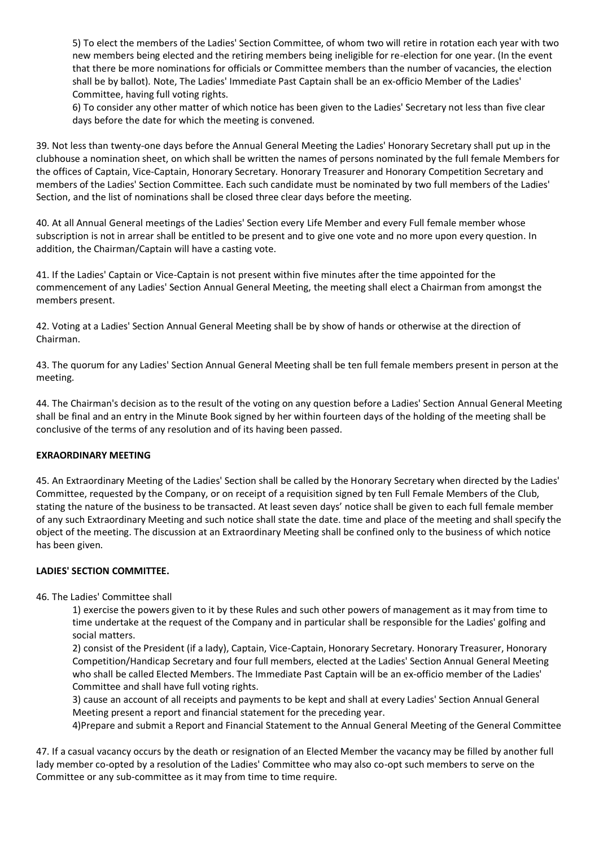5) To elect the members of the Ladies' Section Committee, of whom two will retire in rotation each year with two new members being elected and the retiring members being ineligible for re-election for one year. (In the event that there be more nominations for officials or Committee members than the number of vacancies, the election shall be by ballot). Note, The Ladies' Immediate Past Captain shall be an ex-officio Member of the Ladies' Committee, having full voting rights.

6) To consider any other matter of which notice has been given to the Ladies' Secretary not less than five clear days before the date for which the meeting is convened.

39. Not less than twenty-one days before the Annual General Meeting the Ladies' Honorary Secretary shall put up in the clubhouse a nomination sheet, on which shall be written the names of persons nominated by the full female Members for the offices of Captain, Vice-Captain, Honorary Secretary. Honorary Treasurer and Honorary Competition Secretary and members of the Ladies' Section Committee. Each such candidate must be nominated by two full members of the Ladies' Section, and the list of nominations shall be closed three clear days before the meeting.

40. At all Annual General meetings of the Ladies' Section every Life Member and every Full female member whose subscription is not in arrear shall be entitled to be present and to give one vote and no more upon every question. In addition, the Chairman/Captain will have a casting vote.

41. If the Ladies' Captain or Vice-Captain is not present within five minutes after the time appointed for the commencement of any Ladies' Section Annual General Meeting, the meeting shall elect a Chairman from amongst the members present.

42. Voting at a Ladies' Section Annual General Meeting shall be by show of hands or otherwise at the direction of Chairman.

43. The quorum for any Ladies' Section Annual General Meeting shall be ten full female members present in person at the meeting.

44. The Chairman's decision as to the result of the voting on any question before a Ladies' Section Annual General Meeting shall be final and an entry in the Minute Book signed by her within fourteen days of the holding of the meeting shall be conclusive of the terms of any resolution and of its having been passed.

# **EXRAORDINARY MEETING**

45. An Extraordinary Meeting of the Ladies' Section shall be called by the Honorary Secretary when directed by the Ladies' Committee, requested by the Company, or on receipt of a requisition signed by ten Full Female Members of the Club, stating the nature of the business to be transacted. At least seven days' notice shall be given to each full female member of any such Extraordinary Meeting and such notice shall state the date. time and place of the meeting and shall specify the object of the meeting. The discussion at an Extraordinary Meeting shall be confined only to the business of which notice has been given.

#### **LADIES' SECTION COMMITTEE.**

46. The Ladies' Committee shall

1) exercise the powers given to it by these Rules and such other powers of management as it may from time to time undertake at the request of the Company and in particular shall be responsible for the Ladies' golfing and social matters.

2) consist of the President (if a lady), Captain, Vice-Captain, Honorary Secretary. Honorary Treasurer, Honorary Competition/Handicap Secretary and four full members, elected at the Ladies' Section Annual General Meeting who shall be called Elected Members. The Immediate Past Captain will be an ex-officio member of the Ladies' Committee and shall have full voting rights.

3) cause an account of all receipts and payments to be kept and shall at every Ladies' Section Annual General Meeting present a report and financial statement for the preceding year.

4)Prepare and submit a Report and Financial Statement to the Annual General Meeting of the General Committee

47. If a casual vacancy occurs by the death or resignation of an Elected Member the vacancy may be filled by another full lady member co-opted by a resolution of the Ladies' Committee who may also co-opt such members to serve on the Committee or any sub-committee as it may from time to time require.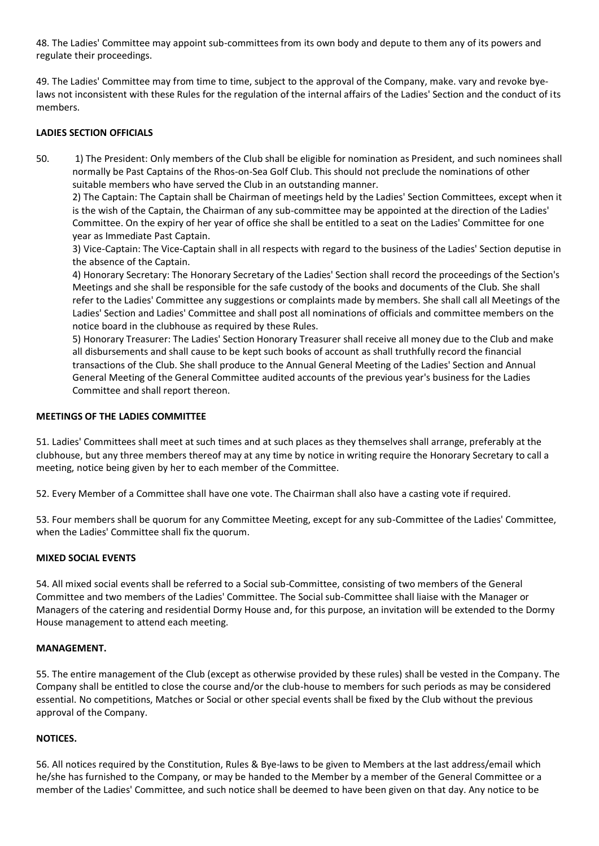48. The Ladies' Committee may appoint sub-committees from its own body and depute to them any of its powers and regulate their proceedings.

49. The Ladies' Committee may from time to time, subject to the approval of the Company, make. vary and revoke byelaws not inconsistent with these Rules for the regulation of the internal affairs of the Ladies' Section and the conduct of its members.

# **LADIES SECTION OFFICIALS**

50. 1) The President: Only members of the Club shall be eligible for nomination as President, and such nominees shall normally be Past Captains of the Rhos-on-Sea Golf Club. This should not preclude the nominations of other suitable members who have served the Club in an outstanding manner.

2) The Captain: The Captain shall be Chairman of meetings held by the Ladies' Section Committees, except when it is the wish of the Captain, the Chairman of any sub-committee may be appointed at the direction of the Ladies' Committee. On the expiry of her year of office she shall be entitled to a seat on the Ladies' Committee for one year as Immediate Past Captain.

3) Vice-Captain: The Vice-Captain shall in all respects with regard to the business of the Ladies' Section deputise in the absence of the Captain.

4) Honorary Secretary: The Honorary Secretary of the Ladies' Section shall record the proceedings of the Section's Meetings and she shall be responsible for the safe custody of the books and documents of the Club. She shall refer to the Ladies' Committee any suggestions or complaints made by members. She shall call all Meetings of the Ladies' Section and Ladies' Committee and shall post all nominations of officials and committee members on the notice board in the clubhouse as required by these Rules.

5) Honorary Treasurer: The Ladies' Section Honorary Treasurer shall receive all money due to the Club and make all disbursements and shall cause to be kept such books of account as shall truthfully record the financial transactions of the Club. She shall produce to the Annual General Meeting of the Ladies' Section and Annual General Meeting of the General Committee audited accounts of the previous year's business for the Ladies Committee and shall report thereon.

# **MEETINGS OF THE LADIES COMMITTEE**

51. Ladies' Committees shall meet at such times and at such places as they themselves shall arrange, preferably at the clubhouse, but any three members thereof may at any time by notice in writing require the Honorary Secretary to call a meeting, notice being given by her to each member of the Committee.

52. Every Member of a Committee shall have one vote. The Chairman shall also have a casting vote if required.

53. Four members shall be quorum for any Committee Meeting, except for any sub-Committee of the Ladies' Committee, when the Ladies' Committee shall fix the quorum.

# **MIXED SOCIAL EVENTS**

54. All mixed social events shall be referred to a Social sub-Committee, consisting of two members of the General Committee and two members of the Ladies' Committee. The Social sub-Committee shall liaise with the Manager or Managers of the catering and residential Dormy House and, for this purpose, an invitation will be extended to the Dormy House management to attend each meeting.

# **MANAGEMENT.**

55. The entire management of the Club (except as otherwise provided by these rules) shall be vested in the Company. The Company shall be entitled to close the course and/or the club-house to members for such periods as may be considered essential. No competitions, Matches or Social or other special events shall be fixed by the Club without the previous approval of the Company.

# **NOTICES.**

56. All notices required by the Constitution, Rules & Bye-laws to be given to Members at the last address/email which he/she has furnished to the Company, or may be handed to the Member by a member of the General Committee or a member of the Ladies' Committee, and such notice shall be deemed to have been given on that day. Any notice to be